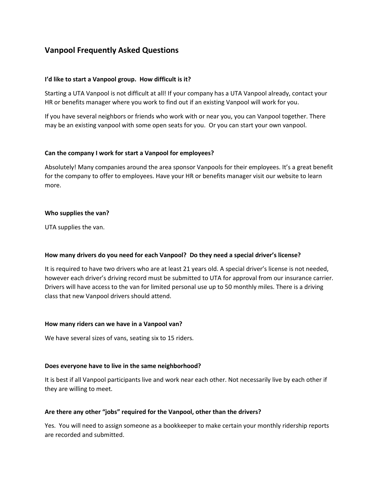# **Vanpool Frequently Asked Questions**

# **I'd like to start a Vanpool group. How difficult is it?**

Starting a UTA Vanpool is not difficult at all! If your company has a UTA Vanpool already, contact your HR or benefits manager where you work to find out if an existing Vanpool will work for you.

If you have several neighbors or friends who work with or near you, you can Vanpool together. There may be an existing vanpool with some open seats for you. Or you can start your own vanpool.

# **Can the company I work for start a Vanpool for employees?**

Absolutely! Many companies around the area sponsor Vanpools for their employees. It's a great benefit for the company to offer to employees. Have your HR or benefits manager visit our website to learn more.

# **Who supplies the van?**

UTA supplies the van.

# **How many drivers do you need for each Vanpool? Do they need a special driver's license?**

It is required to have two drivers who are at least 21 years old. A special driver's license is not needed, however each driver's driving record must be submitted to UTA for approval from our insurance carrier. Drivers will have access to the van for limited personal use up to 50 monthly miles. There is a driving class that new Vanpool drivers should attend.

# **How many riders can we have in a Vanpool van?**

We have several sizes of vans, seating six to 15 riders.

# **Does everyone have to live in the same neighborhood?**

It is best if all Vanpool participants live and work near each other. Not necessarily live by each other if they are willing to meet.

# **Are there any other "jobs" required for the Vanpool, other than the drivers?**

Yes. You will need to assign someone as a bookkeeper to make certain your monthly ridership reports are recorded and submitted.